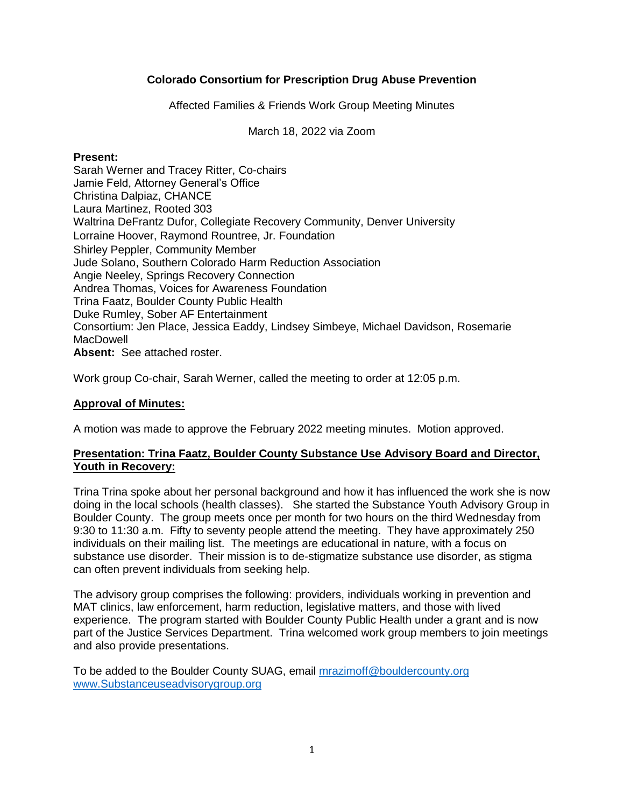# **Colorado Consortium for Prescription Drug Abuse Prevention**

Affected Families & Friends Work Group Meeting Minutes

March 18, 2022 via Zoom

#### **Present:**

Sarah Werner and Tracey Ritter, Co-chairs Jamie Feld, Attorney General's Office Christina Dalpiaz, CHANCE Laura Martinez, Rooted 303 Waltrina DeFrantz Dufor, Collegiate Recovery Community, Denver University Lorraine Hoover, Raymond Rountree, Jr. Foundation Shirley Peppler, Community Member Jude Solano, Southern Colorado Harm Reduction Association Angie Neeley, Springs Recovery Connection Andrea Thomas, Voices for Awareness Foundation Trina Faatz, Boulder County Public Health Duke Rumley, Sober AF Entertainment Consortium: Jen Place, Jessica Eaddy, Lindsey Simbeye, Michael Davidson, Rosemarie **MacDowell Absent:** See attached roster.

Work group Co-chair, Sarah Werner, called the meeting to order at 12:05 p.m.

# **Approval of Minutes:**

A motion was made to approve the February 2022 meeting minutes. Motion approved.

#### **Presentation: Trina Faatz, Boulder County Substance Use Advisory Board and Director, Youth in Recovery:**

Trina Trina spoke about her personal background and how it has influenced the work she is now doing in the local schools (health classes). She started the Substance Youth Advisory Group in Boulder County. The group meets once per month for two hours on the third Wednesday from 9:30 to 11:30 a.m. Fifty to seventy people attend the meeting. They have approximately 250 individuals on their mailing list. The meetings are educational in nature, with a focus on substance use disorder. Their mission is to de-stigmatize substance use disorder, as stigma can often prevent individuals from seeking help.

The advisory group comprises the following: providers, individuals working in prevention and MAT clinics, law enforcement, harm reduction, legislative matters, and those with lived experience. The program started with Boulder County Public Health under a grant and is now part of the Justice Services Department. Trina welcomed work group members to join meetings and also provide presentations.

To be added to the Boulder County SUAG, email [mrazimoff@bouldercounty.org](mailto:mrazimoff@bouldercounty.org) [www.Substanceuseadvisorygroup.org](http://www.substanceuseadvisorygroup.org/)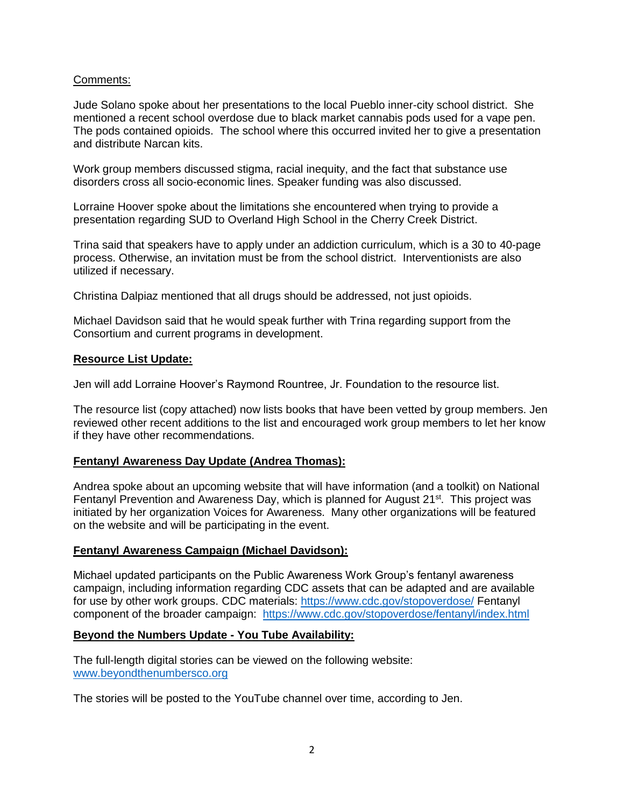## Comments:

Jude Solano spoke about her presentations to the local Pueblo inner-city school district. She mentioned a recent school overdose due to black market cannabis pods used for a vape pen. The pods contained opioids. The school where this occurred invited her to give a presentation and distribute Narcan kits.

Work group members discussed stigma, racial inequity, and the fact that substance use disorders cross all socio-economic lines. Speaker funding was also discussed.

Lorraine Hoover spoke about the limitations she encountered when trying to provide a presentation regarding SUD to Overland High School in the Cherry Creek District.

Trina said that speakers have to apply under an addiction curriculum, which is a 30 to 40-page process. Otherwise, an invitation must be from the school district. Interventionists are also utilized if necessary.

Christina Dalpiaz mentioned that all drugs should be addressed, not just opioids.

Michael Davidson said that he would speak further with Trina regarding support from the Consortium and current programs in development.

#### **Resource List Update:**

Jen will add Lorraine Hoover's Raymond Rountree, Jr. Foundation to the resource list.

The resource list (copy attached) now lists books that have been vetted by group members. Jen reviewed other recent additions to the list and encouraged work group members to let her know if they have other recommendations.

## **Fentanyl Awareness Day Update (Andrea Thomas):**

Andrea spoke about an upcoming website that will have information (and a toolkit) on National Fentanyl Prevention and Awareness Day, which is planned for August 21<sup>st</sup>. This project was initiated by her organization Voices for Awareness. Many other organizations will be featured on the website and will be participating in the event.

## **Fentanyl Awareness Campaign (Michael Davidson):**

Michael updated participants on the Public Awareness Work Group's fentanyl awareness campaign, including information regarding CDC assets that can be adapted and are available for use by other work groups. CDC materials:<https://www.cdc.gov/stopoverdose/> Fentanyl component of the broader campaign: <https://www.cdc.gov/stopoverdose/fentanyl/index.html>

#### **Beyond the Numbers Update - You Tube Availability:**

The full-length digital stories can be viewed on the following website: [www.beyondthenumbersco.org](http://www.beyondthenumbersco.org/)

The stories will be posted to the YouTube channel over time, according to Jen.